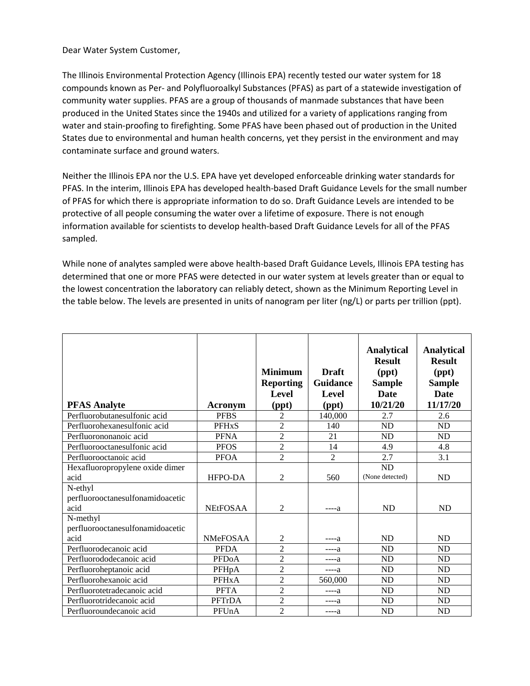Dear Water System Customer,

The Illinois Environmental Protection Agency (Illinois EPA) recently tested our water system for 18 compounds known as Per- and Polyfluoroalkyl Substances (PFAS) as part of a statewide investigation of community water supplies. PFAS are a group of thousands of manmade substances that have been produced in the United States since the 1940s and utilized for a variety of applications ranging from water and stain-proofing to firefighting. Some PFAS have been phased out of production in the United States due to environmental and human health concerns, yet they persist in the environment and may contaminate surface and ground waters.

Neither the Illinois EPA nor the U.S. EPA have yet developed enforceable drinking water standards for PFAS. In the interim, Illinois EPA has developed health-based Draft Guidance Levels for the small number of PFAS for which there is appropriate information to do so. Draft Guidance Levels are intended to be protective of all people consuming the water over a lifetime of exposure. There is not enough information available for scientists to develop health-based Draft Guidance Levels for all of the PFAS sampled.

While none of analytes sampled were above health-based Draft Guidance Levels, Illinois EPA testing has determined that one or more PFAS were detected in our water system at levels greater than or equal to the lowest concentration the laboratory can reliably detect, shown as the Minimum Reporting Level in the table below. The levels are presented in units of nanogram per liter (ng/L) or parts per trillion (ppt).

| <b>PFAS Analyte</b>                                  | Acronym                 | <b>Minimum</b><br><b>Reporting</b><br><b>Level</b><br>(ppt) | <b>Draft</b><br><b>Guidance</b><br><b>Level</b><br>(ppt) | <b>Analytical</b><br><b>Result</b><br>$(\text{ppt})$<br><b>Sample</b><br><b>Date</b><br>10/21/20 | <b>Analytical</b><br><b>Result</b><br>$(\text{ppt})$<br><b>Sample</b><br>Date<br>11/17/20 |
|------------------------------------------------------|-------------------------|-------------------------------------------------------------|----------------------------------------------------------|--------------------------------------------------------------------------------------------------|-------------------------------------------------------------------------------------------|
| Perfluorobutanesulfonic acid                         | <b>PFBS</b>             | $\overline{c}$                                              | 140,000                                                  | 2.7                                                                                              | 2.6                                                                                       |
| Perfluorohexanesulfonic acid                         | <b>PFH<sub>x</sub>S</b> | $\overline{c}$                                              | 140                                                      | <b>ND</b>                                                                                        | <b>ND</b>                                                                                 |
| Perfluorononanoic acid                               | <b>PFNA</b>             | $\overline{2}$                                              | 21                                                       | <b>ND</b>                                                                                        | <b>ND</b>                                                                                 |
| Perfluorooctanesulfonic acid                         | <b>PFOS</b>             | $\overline{2}$                                              | 14                                                       | 4.9                                                                                              | 4.8                                                                                       |
| Perfluorooctanoic acid                               | <b>PFOA</b>             | $\overline{2}$                                              | $\overline{2}$                                           | 2.7                                                                                              | 3.1                                                                                       |
| Hexafluoropropylene oxide dimer<br>acid              | HFPO-DA                 | $\overline{2}$                                              | 560                                                      | ND<br>(None detected)                                                                            | <b>ND</b>                                                                                 |
| N-ethyl<br>perfluorooctanesulfonamidoacetic<br>acid  | <b>NEtFOSAA</b>         | $\overline{c}$                                              | $---a$                                                   | <b>ND</b>                                                                                        | <b>ND</b>                                                                                 |
| N-methyl<br>perfluorooctanesulfonamidoacetic<br>acid | NMeFOSAA                | $\overline{c}$                                              | ----a                                                    | ND                                                                                               | <b>ND</b>                                                                                 |
| Perfluorodecanoic acid                               | <b>PFDA</b>             | $\overline{2}$                                              | $---a$                                                   | <b>ND</b>                                                                                        | <b>ND</b>                                                                                 |
| Perfluorododecanoic acid                             | <b>PFDoA</b>            | $\overline{2}$                                              | $---a$                                                   | ND                                                                                               | <b>ND</b>                                                                                 |
| Perfluoroheptanoic acid                              | PFH <sub>p</sub> A      | $\overline{2}$                                              | $---a$                                                   | ND                                                                                               | ND                                                                                        |
| Perfluorohexanoic acid                               | PFH <sub>x</sub> A      | $\overline{2}$                                              | 560,000                                                  | ND                                                                                               | ND                                                                                        |
| Perfluorotetradecanoic acid                          | <b>PFTA</b>             | $\overline{2}$                                              | $---a$                                                   | ND                                                                                               | <b>ND</b>                                                                                 |
| Perfluorotridecanoic acid                            | PFTrDA                  | $\overline{2}$                                              | $---a$                                                   | <b>ND</b>                                                                                        | <b>ND</b>                                                                                 |
| Perfluoroundecanoic acid                             | PFUnA                   | $\overline{2}$                                              | $---a$                                                   | <b>ND</b>                                                                                        | <b>ND</b>                                                                                 |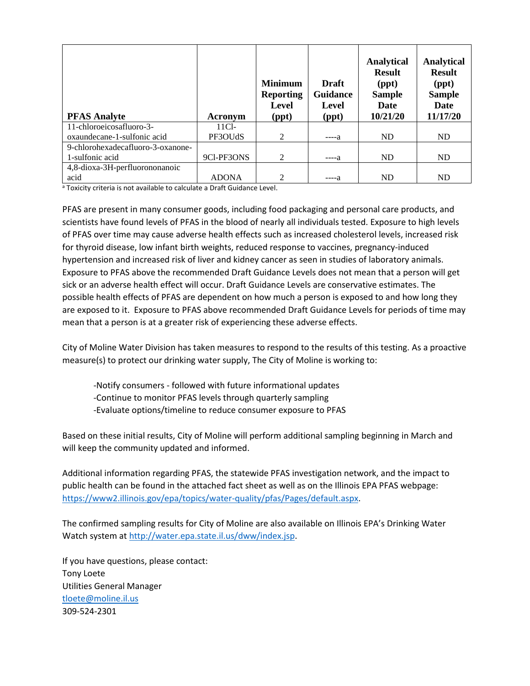| <b>PFAS Analyte</b>               | Acronym      | <b>Minimum</b><br><b>Reporting</b><br>Level<br>(ppt) | <b>Draft</b><br><b>Guidance</b><br><b>Level</b><br>(ppt) | <b>Analytical</b><br><b>Result</b><br>(ppt)<br><b>Sample</b><br>Date<br>10/21/20 | <b>Analytical</b><br><b>Result</b><br>$(\text{ppt})$<br><b>Sample</b><br><b>Date</b><br>11/17/20 |
|-----------------------------------|--------------|------------------------------------------------------|----------------------------------------------------------|----------------------------------------------------------------------------------|--------------------------------------------------------------------------------------------------|
| 11-chloroeicosafluoro-3-          | $11Cl-$      |                                                      |                                                          |                                                                                  |                                                                                                  |
| oxaundecane-1-sulfonic acid       | PF3OUdS      | 2                                                    | -----а                                                   | ND                                                                               | ND                                                                                               |
| 9-chlorohexadecafluoro-3-oxanone- |              |                                                      |                                                          |                                                                                  |                                                                                                  |
| 1-sulfonic acid                   | 9Cl-PF3ONS   | 2                                                    | -----а                                                   | ND                                                                               | ND                                                                                               |
| 4,8-dioxa-3H-perfluorononanoic    |              |                                                      |                                                          |                                                                                  |                                                                                                  |
| acid                              | <b>ADONA</b> | 2                                                    | ----а                                                    | ND                                                                               | ND                                                                                               |

<sup>a</sup> Toxicity criteria is not available to calculate a Draft Guidance Level.

PFAS are present in many consumer goods, including food packaging and personal care products, and scientists have found levels of PFAS in the blood of nearly all individuals tested. Exposure to high levels of PFAS over time may cause adverse health effects such as increased cholesterol levels, increased risk for thyroid disease, low infant birth weights, reduced response to vaccines, pregnancy-induced hypertension and increased risk of liver and kidney cancer as seen in studies of laboratory animals. Exposure to PFAS above the recommended Draft Guidance Levels does not mean that a person will get sick or an adverse health effect will occur. Draft Guidance Levels are conservative estimates. The possible health effects of PFAS are dependent on how much a person is exposed to and how long they are exposed to it. Exposure to PFAS above recommended Draft Guidance Levels for periods of time may mean that a person is at a greater risk of experiencing these adverse effects.

City of Moline Water Division has taken measures to respond to the results of this testing. As a proactive measure(s) to protect our drinking water supply, The City of Moline is working to:

-Notify consumers - followed with future informational updates

-Continue to monitor PFAS levels through quarterly sampling

-Evaluate options/timeline to reduce consumer exposure to PFAS

Based on these initial results, City of Moline will perform additional sampling beginning in March and will keep the community updated and informed.

Additional information regarding PFAS, the statewide PFAS investigation network, and the impact to public health can be found in the attached fact sheet as well as on the Illinois EPA PFAS webpage: [https://www2.illinois.gov/epa/topics/water-quality/pfas/Pages/default.aspx.](https://www2.illinois.gov/epa/topics/water-quality/pfas/Pages/default.aspx)

The confirmed sampling results for City of Moline are also available on Illinois EPA's Drinking Water Watch system at [http://water.epa.state.il.us/dww/index.jsp.](http://water.epa.state.il.us/dww/index.jsp)

If you have questions, please contact: Tony Loete Utilities General Manager [tloete@moline.il.us](mailto:tloete@moline.il.us) 309-524-2301